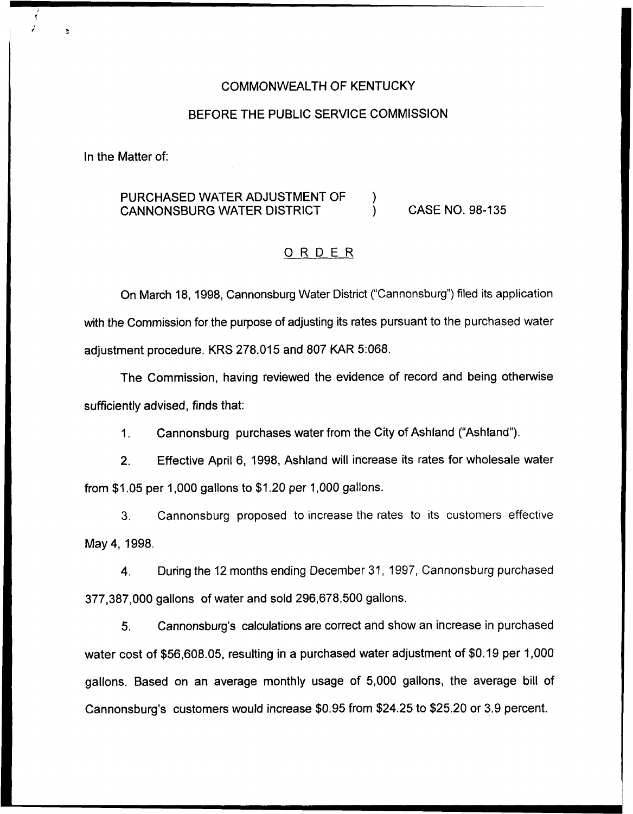### COMMONWEALTH OF KENTUCKY

#### BEFORE THE PUBLIC SERVICE COMMISSION

In the Matter of:

# PURCHASED WATER ADJUSTMENT OF  $\qquad$  )<br>CANNONSBURG WATER DISTRICT CANNONSBURG WATER DISTRICT ) CASE NO. 98-135

## ORDER

On March 18, 1998, Cannonsburg Water District ("Cannonsburg") filed its application with the Commission for the purpose of adjusting its rates pursuant to the purchased water adjustment procedure. KRS 278.015 and 807 KAR 5:068.

The Commission, having reviewed the evidence of record and being otherwise sufficiently advised, finds that:

1. Cannonsburg purchases water from the City of Ashland ("Ashland").

2. Effective April 6, 1998, Ashland will increase its rates for wholesale water from  $$1.05$  per 1,000 gallons to  $$1.20$  per 1,000 gallons.

3. Cannonsburg proposed to increase the rates to its customers effective May 4, 1998.

4. During the 12 months ending December 31, 1997, Cannonsburg purchased 377,387,000 gallons of water and sold 296,678,500 gallons.

5. Cannonsburg's calculations are correct and show an increase in purchased water cost of \$56,608.05, resulting in a purchased water adjustment of \$0.19 per 1,000 gallons. Based on an average monthly usage of 5,000 gallons, the average bill of Cannonsburg's customers would increase \$0.95 from \$24.25 to \$25.20 or 3.9 percent.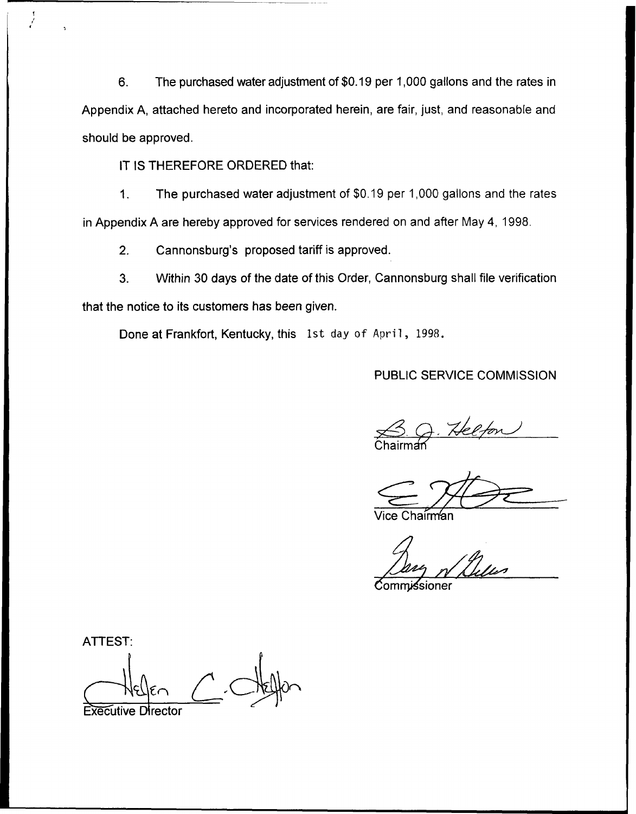6. The purchased water adjustment of \$0.19 per 1,000 gallons and the rates in Appendix A, attached hereto and incorporated herein, are fair, just, and reasonable and should be approved.

IT IS THEREFORE ORDERED that:

1. The purchased water adjustment of \$0.19 per 1,000 gallons and the rates in Appendix A are hereby approved for services rendered on and after May 4, 1998.

2. Cannonsburg's proposed tariff is approved.

3. Within 30 days of the date of this Order, Cannonsburg shall file verification that the notice to its customers has been given,

Done at Frankfort, Kentucky, this 1st day of April, 1998.

PUBLIC SERVICE COMMISSION

Chairmar

ice Chairm⁄an

:0ommi**∕**sioner

ATTEST:

Executive Director